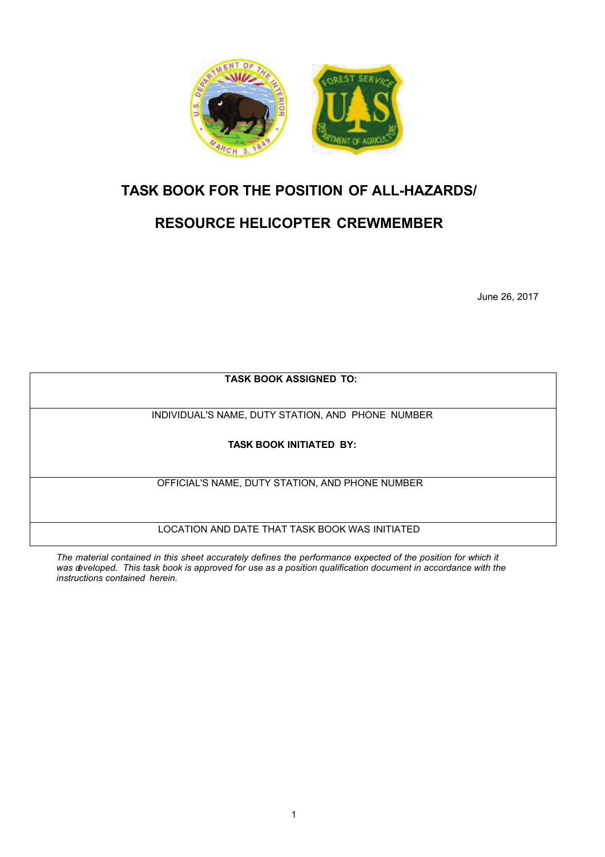

## **TASK BOOK FOR THE POSITION OF ALL-HAZARDS/**

# **RESOURCE HELICOPTER CREWMEMBER**

June 26, 2017

**TASK BOOK ASSIGNED TO:**

INDIVIDUAL'S NAME, DUTY STATION, AND PHONE NUMBER

**TASK BOOK INITIATED BY:**

OFFICIAL'S NAME, DUTY STATION, AND PHONE NUMBER

LOCATION AND DATE THAT TASK BOOK WAS INITIATED

The material contained in this sheet accurately defines the performance expected of the position for which it *was developed. This task book is approved for use as a position qualification document in accordance with the instructions contained herein.*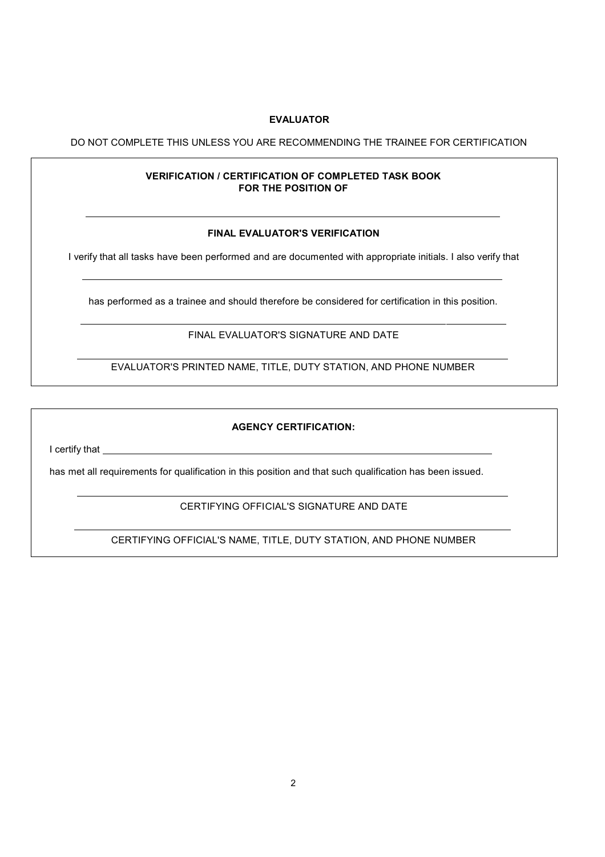#### **EVALUATOR**

#### DO NOT COMPLETE THIS UNLESS YOU ARE RECOMMENDING THE TRAINEE FOR CERTIFICATION

#### **VERIFICATION / CERTIFICATION OF COMPLETED TASK BOOK FOR THE POSITION OF**

#### **FINAL EVALUATOR'S VERIFICATION**

I verify that all tasks have been performed and are documented with appropriate initials. I also verify that

has performed as a trainee and should therefore be considered for certification in this position.

FINAL EVALUATOR'S SIGNATURE AND DATE

EVALUATOR'S PRINTED NAME, TITLE, DUTY STATION, AND PHONE NUMBER

#### **AGENCY CERTIFICATION:**

I certify that

has met all requirements for qualification in this position and that such qualification has been issued.

#### CERTIFYING OFFICIAL'S SIGNATURE AND DATE

CERTIFYING OFFICIAL'S NAME, TITLE, DUTY STATION, AND PHONE NUMBER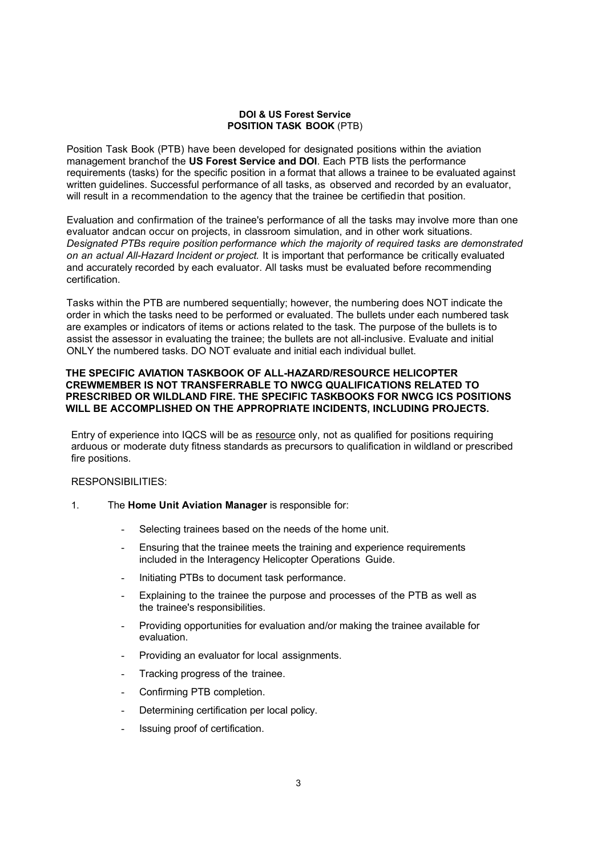#### **DOI & US Forest Service POSITION TASK BOOK** (PTB)

Position Task Book (PTB) have been developed for designated positions within the aviation management branchof the **US Forest Service and DOI**. Each PTB lists the performance requirements (tasks) for the specific position in a format that allows a trainee to be evaluated against written guidelines. Successful performance of all tasks, as observed and recorded by an evaluator, will result in a recommendation to the agency that the trainee be certifiedin that position.

Evaluation and confirmation of the trainee's performance of all the tasks may involve more than one evaluator andcan occur on projects, in classroom simulation, and in other work situations. *Designated PTBs require position performance which the majority of required tasks are demonstrated on an actual All-Hazard Incident or project.* It is important that performance be critically evaluated and accurately recorded by each evaluator. All tasks must be evaluated before recommending certification.

Tasks within the PTB are numbered sequentially; however, the numbering does NOT indicate the order in which the tasks need to be performed or evaluated. The bullets under each numbered task are examples or indicators of items or actions related to the task. The purpose of the bullets is to assist the assessor in evaluating the trainee; the bullets are not all-inclusive. Evaluate and initial ONLY the numbered tasks. DO NOT evaluate and initial each individual bullet.

#### **THE SPECIFIC AVIATION TASKBOOK OF ALL-HAZARD/RESOURCE HELICOPTER CREWMEMBER IS NOT TRANSFERRABLE TO NWCG QUALIFICATIONS RELATED TO PRESCRIBED OR WILDLAND FIRE. THE SPECIFIC TASKBOOKS FOR NWCG ICS POSITIONS WILL BE ACCOMPLISHED ON THE APPROPRIATE INCIDENTS, INCLUDING PROJECTS.**

Entry of experience into IQCS will be as resource only, not as qualified for positions requiring arduous or moderate duty fitness standards as precursors to qualification in wildland or prescribed fire positions.

#### RESPONSIBILITIES:

- 1. The **Home Unit Aviation Manager** is responsible for:
	- Selecting trainees based on the needs of the home unit.
	- Ensuring that the trainee meets the training and experience requirements included in the Interagency Helicopter Operations Guide.
	- Initiating PTBs to document task performance.
	- Explaining to the trainee the purpose and processes of the PTB as well as the trainee's responsibilities.
	- Providing opportunities for evaluation and/or making the trainee available for evaluation.
	- Providing an evaluator for local assignments.
	- Tracking progress of the trainee.
	- Confirming PTB completion.
	- Determining certification per local policy.
	- Issuing proof of certification.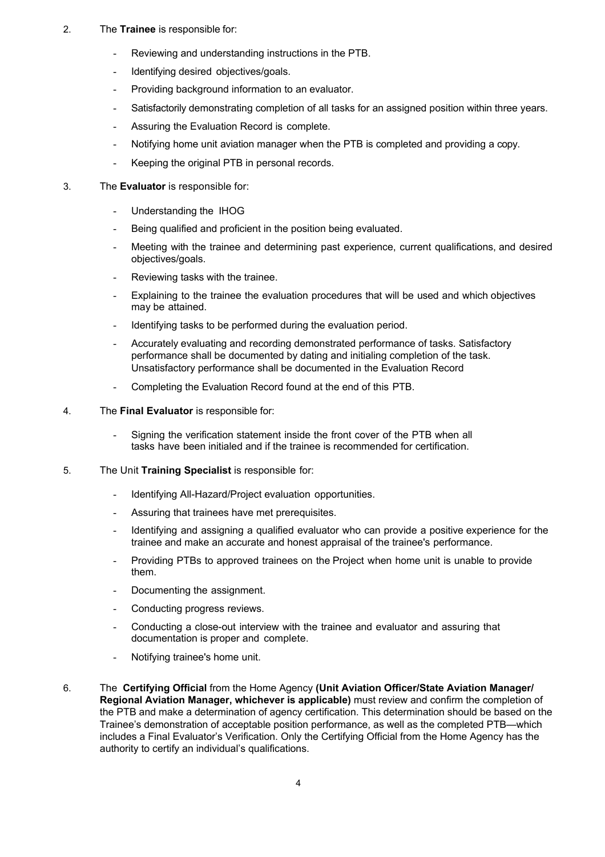- 2. The **Trainee** is responsible for:
	- Reviewing and understanding instructions in the PTB.
	- Identifying desired objectives/goals.
	- Providing background information to an evaluator.
	- Satisfactorily demonstrating completion of all tasks for an assigned position within three years.
	- Assuring the Evaluation Record is complete.
	- Notifying home unit aviation manager when the PTB is completed and providing a copy.
	- Keeping the original PTB in personal records.
- 3. The **Evaluator** is responsible for:
	- Understanding the IHOG
	- Being qualified and proficient in the position being evaluated.
	- Meeting with the trainee and determining past experience, current qualifications, and desired objectives/goals.
	- Reviewing tasks with the trainee.
	- Explaining to the trainee the evaluation procedures that will be used and which objectives may be attained.
	- Identifying tasks to be performed during the evaluation period.
	- Accurately evaluating and recording demonstrated performance of tasks. Satisfactory performance shall be documented by dating and initialing completion of the task. Unsatisfactory performance shall be documented in the Evaluation Record
	- Completing the Evaluation Record found at the end of this PTB.
- 4. The **Final Evaluator** is responsible for:
	- Signing the verification statement inside the front cover of the PTB when all tasks have been initialed and if the trainee is recommended for certification.
- 5. The Unit **Training Specialist** is responsible for:
	- Identifying All-Hazard/Project evaluation opportunities.
	- Assuring that trainees have met prerequisites.
	- Identifying and assigning a qualified evaluator who can provide a positive experience for the trainee and make an accurate and honest appraisal of the trainee's performance.
	- Providing PTBs to approved trainees on the Project when home unit is unable to provide them.
	- Documenting the assignment.
	- Conducting progress reviews.
	- Conducting a close-out interview with the trainee and evaluator and assuring that documentation is proper and complete.
	- Notifying trainee's home unit.
- 6. The **Certifying Official** from the Home Agency **(Unit Aviation Officer/State Aviation Manager/ Regional Aviation Manager, whichever is applicable)** must review and confirm the completion of the PTB and make a determination of agency certification. This determination should be based on the Trainee's demonstration of acceptable position performance, as well as the completed PTB—which includes a Final Evaluator's Verification. Only the Certifying Official from the Home Agency has the authority to certify an individual's qualifications.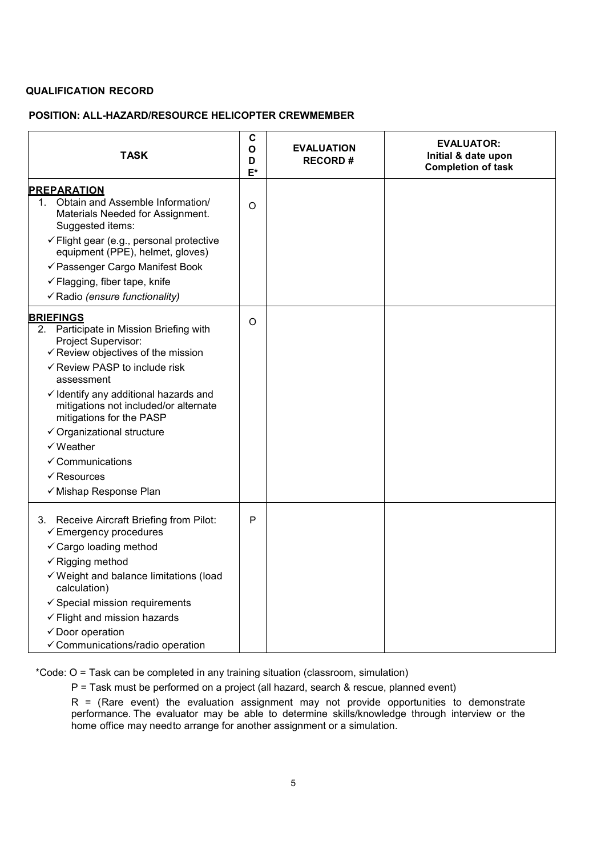### **QUALIFICATION RECORD**

### **POSITION: ALL-HAZARD/RESOURCE HELICOPTER CREWMEMBER**

| <b>TASK</b>                                                                                                                                                                                                                                                                                                                                                                                                                                                     | C<br>O<br>D<br>$E^*$ | <b>EVALUATION</b><br><b>RECORD#</b> | <b>EVALUATOR:</b><br>Initial & date upon<br><b>Completion of task</b> |
|-----------------------------------------------------------------------------------------------------------------------------------------------------------------------------------------------------------------------------------------------------------------------------------------------------------------------------------------------------------------------------------------------------------------------------------------------------------------|----------------------|-------------------------------------|-----------------------------------------------------------------------|
| <b>PREPARATION</b><br>Obtain and Assemble Information/<br>1.<br>Materials Needed for Assignment.<br>Suggested items:<br>$\checkmark$ Flight gear (e.g., personal protective<br>equipment (PPE), helmet, gloves)<br>√ Passenger Cargo Manifest Book<br>$\checkmark$ Flagging, fiber tape, knife<br>√ Radio (ensure functionality)                                                                                                                                | $\circ$              |                                     |                                                                       |
| <b>BRIEFINGS</b><br>2. Participate in Mission Briefing with<br>Project Supervisor:<br>$\checkmark$ Review objectives of the mission<br>✓ Review PASP to include risk<br>assessment<br>$\checkmark$ Identify any additional hazards and<br>mitigations not included/or alternate<br>mitigations for the PASP<br>$\checkmark$ Organizational structure<br>$\checkmark$ Weather<br>$\checkmark$ Communications<br>$\checkmark$ Resources<br>√ Mishap Response Plan | $\Omega$             |                                     |                                                                       |
| 3. Receive Aircraft Briefing from Pilot:<br>$\checkmark$ Emergency procedures<br>✓ Cargo loading method<br>$\checkmark$ Rigging method<br>√ Weight and balance limitations (load<br>calculation)<br>$\checkmark$ Special mission requirements<br>$\checkmark$ Flight and mission hazards<br>$\checkmark$ Door operation<br>✓ Communications/radio operation                                                                                                     | P                    |                                     |                                                                       |

\*Code: O = Task can be completed in any training situation (classroom, simulation)

P = Task must be performed on a project (all hazard, search & rescue, planned event)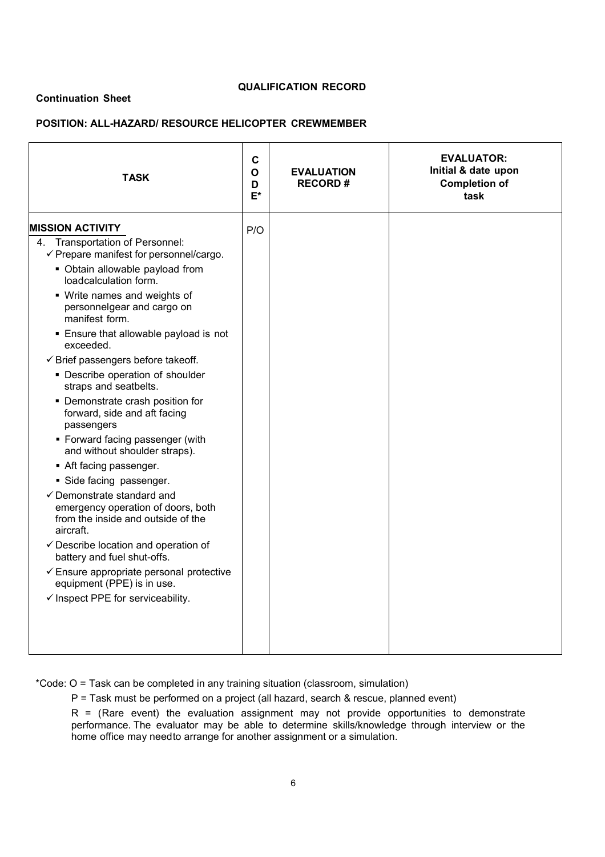### **Continuation Sheet**

## **QUALIFICATION RECORD**

### **POSITION: ALL-HAZARD/ RESOURCE HELICOPTER CREWMEMBER**

| <b>TASK</b>                                                                                                                    | $\mathbf c$<br>$\mathbf{o}$<br>D<br>E* | <b>EVALUATION</b><br><b>RECORD#</b> | <b>EVALUATOR:</b><br>Initial & date upon<br><b>Completion of</b><br>task |
|--------------------------------------------------------------------------------------------------------------------------------|----------------------------------------|-------------------------------------|--------------------------------------------------------------------------|
| <b>MISSION ACTIVITY</b>                                                                                                        | P/O                                    |                                     |                                                                          |
| 4. Transportation of Personnel:<br>$\checkmark$ Prepare manifest for personnel/cargo.                                          |                                        |                                     |                                                                          |
| • Obtain allowable payload from<br>loadcalculation form.                                                                       |                                        |                                     |                                                                          |
| • Write names and weights of<br>personnelgear and cargo on<br>manifest form.                                                   |                                        |                                     |                                                                          |
| • Ensure that allowable payload is not<br>exceeded.                                                                            |                                        |                                     |                                                                          |
| $\checkmark$ Brief passengers before takeoff.                                                                                  |                                        |                                     |                                                                          |
| • Describe operation of shoulder<br>straps and seatbelts.                                                                      |                                        |                                     |                                                                          |
| • Demonstrate crash position for<br>forward, side and aft facing<br>passengers                                                 |                                        |                                     |                                                                          |
| • Forward facing passenger (with<br>and without shoulder straps).                                                              |                                        |                                     |                                                                          |
| Aft facing passenger.                                                                                                          |                                        |                                     |                                                                          |
| Side facing passenger.                                                                                                         |                                        |                                     |                                                                          |
| $\checkmark$ Demonstrate standard and<br>emergency operation of doors, both<br>from the inside and outside of the<br>aircraft. |                                        |                                     |                                                                          |
| $\checkmark$ Describe location and operation of<br>battery and fuel shut-offs.                                                 |                                        |                                     |                                                                          |
| $\checkmark$ Ensure appropriate personal protective<br>equipment (PPE) is in use.                                              |                                        |                                     |                                                                          |
| $\checkmark$ Inspect PPE for serviceability.                                                                                   |                                        |                                     |                                                                          |
|                                                                                                                                |                                        |                                     |                                                                          |

\*Code: O = Task can be completed in any training situation (classroom, simulation)

P = Task must be performed on a project (all hazard, search & rescue, planned event)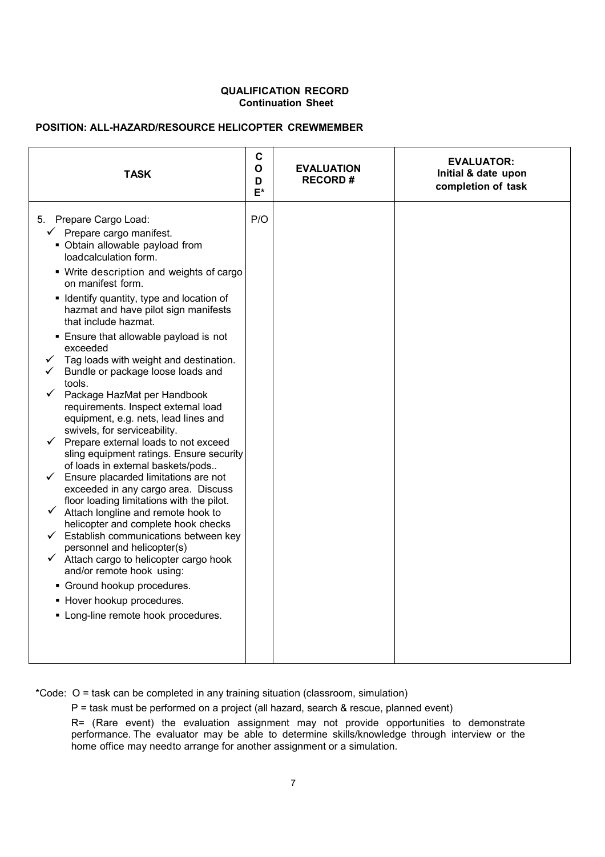#### **QUALIFICATION RECORD Continuation Sheet**

## **POSITION: ALL-HAZARD/RESOURCE HELICOPTER CREWMEMBER**

| completion of task<br>E*                                                                                                                                                                                                                                                                                                                                                                                                                                                                                                                                                                                                                                                                                                                                                                                                                                                                                                                                                                                                                                                                                                                                                                                                                             | <b>TASK</b> | $\mathbf c$<br>O<br>D | <b>EVALUATION</b><br><b>RECORD#</b> | <b>EVALUATOR:</b><br>Initial & date upon |
|------------------------------------------------------------------------------------------------------------------------------------------------------------------------------------------------------------------------------------------------------------------------------------------------------------------------------------------------------------------------------------------------------------------------------------------------------------------------------------------------------------------------------------------------------------------------------------------------------------------------------------------------------------------------------------------------------------------------------------------------------------------------------------------------------------------------------------------------------------------------------------------------------------------------------------------------------------------------------------------------------------------------------------------------------------------------------------------------------------------------------------------------------------------------------------------------------------------------------------------------------|-------------|-----------------------|-------------------------------------|------------------------------------------|
| P/O<br>5. Prepare Cargo Load:<br>$\checkmark$ Prepare cargo manifest.<br>• Obtain allowable payload from<br>loadcalculation form.<br>• Write description and weights of cargo<br>on manifest form.<br>• Identify quantity, type and location of<br>hazmat and have pilot sign manifests<br>that include hazmat.<br>Ensure that allowable payload is not<br>exceeded<br>Tag loads with weight and destination.<br>Bundle or package loose loads and<br>tools.<br>Package HazMat per Handbook<br>requirements. Inspect external load<br>equipment, e.g. nets, lead lines and<br>swivels, for serviceability.<br>$\checkmark$ Prepare external loads to not exceed<br>sling equipment ratings. Ensure security<br>of loads in external baskets/pods<br>Ensure placarded limitations are not<br>exceeded in any cargo area. Discuss<br>floor loading limitations with the pilot.<br>$\checkmark$<br>Attach longline and remote hook to<br>helicopter and complete hook checks<br>$\checkmark$ Establish communications between key<br>personnel and helicopter(s)<br>$\checkmark$ Attach cargo to helicopter cargo hook<br>and/or remote hook using:<br>• Ground hookup procedures.<br>• Hover hookup procedures.<br>• Long-line remote hook procedures. |             |                       |                                     |                                          |

\*Code: O = task can be completed in any training situation (classroom, simulation)

P = task must be performed on a project (all hazard, search & rescue, planned event)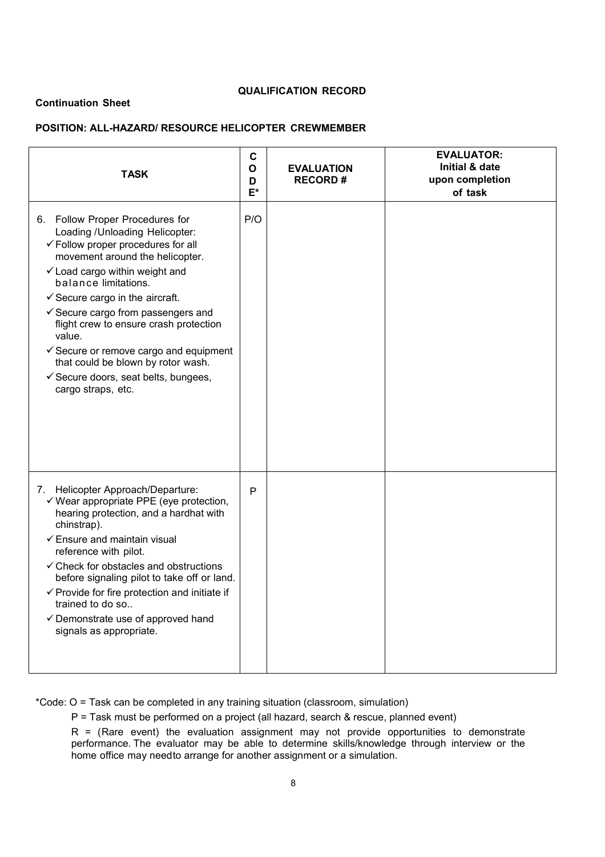### **QUALIFICATION RECORD**

#### **Continuation Sheet**

## **POSITION: ALL-HAZARD/ RESOURCE HELICOPTER CREWMEMBER**

| <b>TASK</b>                                                                                                                                                                                                                                                                                                                                                                                                                                                                                                                | $\mathbf C$<br>O<br>D<br>E* | <b>EVALUATION</b><br><b>RECORD#</b> | <b>EVALUATOR:</b><br><b>Initial &amp; date</b><br>upon completion<br>of task |
|----------------------------------------------------------------------------------------------------------------------------------------------------------------------------------------------------------------------------------------------------------------------------------------------------------------------------------------------------------------------------------------------------------------------------------------------------------------------------------------------------------------------------|-----------------------------|-------------------------------------|------------------------------------------------------------------------------|
| 6. Follow Proper Procedures for<br>Loading / Unloading Helicopter:<br>$\checkmark$ Follow proper procedures for all<br>movement around the helicopter.<br>✓ Load cargo within weight and<br>balance limitations.<br>$\checkmark$ Secure cargo in the aircraft.<br>$\checkmark$ Secure cargo from passengers and<br>flight crew to ensure crash protection<br>value.<br>$\checkmark$ Secure or remove cargo and equipment<br>that could be blown by rotor wash.<br>Gecure doors, seat belts, bungees,<br>cargo straps, etc. | P/O                         |                                     |                                                                              |
| 7. Helicopter Approach/Departure:<br>$\checkmark$ Wear appropriate PPE (eye protection,<br>hearing protection, and a hardhat with<br>chinstrap).<br>$\checkmark$ Ensure and maintain visual<br>reference with pilot.<br>$\checkmark$ Check for obstacles and obstructions<br>before signaling pilot to take off or land.<br>$\checkmark$ Provide for fire protection and initiate if<br>trained to do so<br>$\checkmark$ Demonstrate use of approved hand<br>signals as appropriate.                                       | P                           |                                     |                                                                              |

\*Code: O = Task can be completed in any training situation (classroom, simulation)

P = Task must be performed on a project (all hazard, search & rescue, planned event)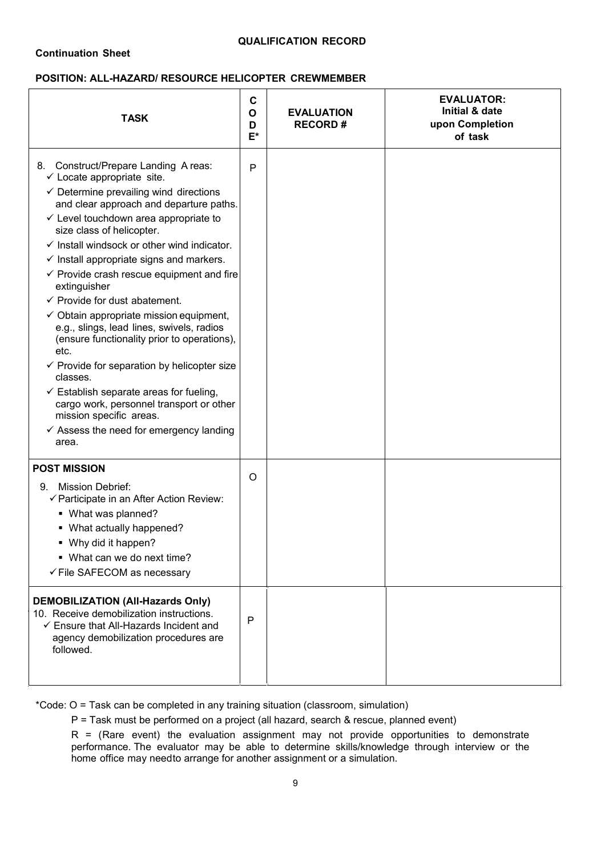### **POSITION: ALL-HAZARD/ RESOURCE HELICOPTER CREWMEMBER**

| <b>TASK</b>                                                                                                                                                                                                                                                                                                                                                                                                                                                                                                                                                                                                                                                                                                                                                                                                                                                                                                                     | C<br>$\mathbf{o}$<br>D<br>$E^*$ | <b>EVALUATION</b><br><b>RECORD#</b> | <b>EVALUATOR:</b><br>Initial & date<br>upon Completion<br>of task |
|---------------------------------------------------------------------------------------------------------------------------------------------------------------------------------------------------------------------------------------------------------------------------------------------------------------------------------------------------------------------------------------------------------------------------------------------------------------------------------------------------------------------------------------------------------------------------------------------------------------------------------------------------------------------------------------------------------------------------------------------------------------------------------------------------------------------------------------------------------------------------------------------------------------------------------|---------------------------------|-------------------------------------|-------------------------------------------------------------------|
| 8. Construct/Prepare Landing A reas:<br>$\checkmark$ Locate appropriate site.<br>$\checkmark$ Determine prevailing wind directions<br>and clear approach and departure paths.<br>$\checkmark$ Level touchdown area appropriate to<br>size class of helicopter.<br>$\checkmark$ Install windsock or other wind indicator.<br>$\checkmark$ Install appropriate signs and markers.<br>$\checkmark$ Provide crash rescue equipment and fire<br>extinguisher<br>$\checkmark$ Provide for dust abatement.<br>$\checkmark$ Obtain appropriate mission equipment,<br>e.g., slings, lead lines, swivels, radios<br>(ensure functionality prior to operations),<br>etc.<br>$\checkmark$ Provide for separation by helicopter size<br>classes.<br>$\checkmark$ Establish separate areas for fueling,<br>cargo work, personnel transport or other<br>mission specific areas.<br>$\checkmark$ Assess the need for emergency landing<br>area. | $\mathsf{P}$                    |                                     |                                                                   |
| <b>POST MISSION</b><br><b>Mission Debrief:</b><br>9.<br>✓ Participate in an After Action Review:<br>• What was planned?<br>• What actually happened?<br>• Why did it happen?<br>• What can we do next time?<br>✓ File SAFECOM as necessary                                                                                                                                                                                                                                                                                                                                                                                                                                                                                                                                                                                                                                                                                      | O                               |                                     |                                                                   |
| <b>DEMOBILIZATION (All-Hazards Only)</b><br>10. Receive demobilization instructions.<br>$\checkmark$ Ensure that All-Hazards Incident and<br>agency demobilization procedures are<br>followed.                                                                                                                                                                                                                                                                                                                                                                                                                                                                                                                                                                                                                                                                                                                                  | P                               |                                     |                                                                   |

\*Code: O = Task can be completed in any training situation (classroom, simulation)

P = Task must be performed on a project (all hazard, search & rescue, planned event)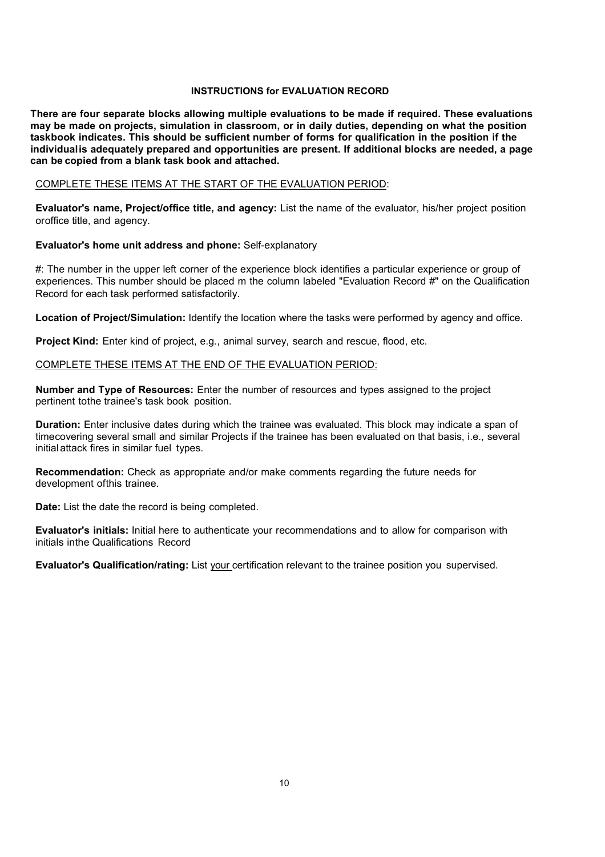#### **INSTRUCTIONS for EVALUATION RECORD**

**There are four separate blocks allowing multiple evaluations to be made if required. These evaluations may be made on projects, simulation in classroom, or in daily duties, depending on what the position taskbook indicates. This should be sufficient number of forms for qualification in the position if the individualis adequately prepared and opportunities are present. If additional blocks are needed, a page can be copied from a blank task book and attached.**

#### COMPLETE THESE ITEMS AT THE START OF THE EVALUATION PERIOD:

**Evaluator's name, Project/office title, and agency:** List the name of the evaluator, his/her project position oroffice title, and agency.

#### **Evaluator's home unit address and phone:** Self-explanatory

#: The number in the upper left corner of the experience block identifies a particular experience or group of experiences. This number should be placed m the column labeled "Evaluation Record #" on the Qualification Record for each task performed satisfactorily.

**Location of Project/Simulation:** Identify the location where the tasks were performed by agency and office.

**Project Kind:** Enter kind of project, e.g., animal survey, search and rescue, flood, etc.

#### COMPLETE THESE ITEMS AT THE END OF THE EVALUATION PERIOD:

**Number and Type of Resources:** Enter the number of resources and types assigned to the project pertinent tothe trainee's task book position.

**Duration:** Enter inclusive dates during which the trainee was evaluated. This block may indicate a span of timecovering several small and similar Projects if the trainee has been evaluated on that basis, i.e., several initial attack fires in similar fuel types.

**Recommendation:** Check as appropriate and/or make comments regarding the future needs for development ofthis trainee.

**Date:** List the date the record is being completed.

**Evaluator's initials:** Initial here to authenticate your recommendations and to allow for comparison with initials inthe Qualifications Record

**Evaluator's Qualification/rating:** List your certification relevant to the trainee position you supervised.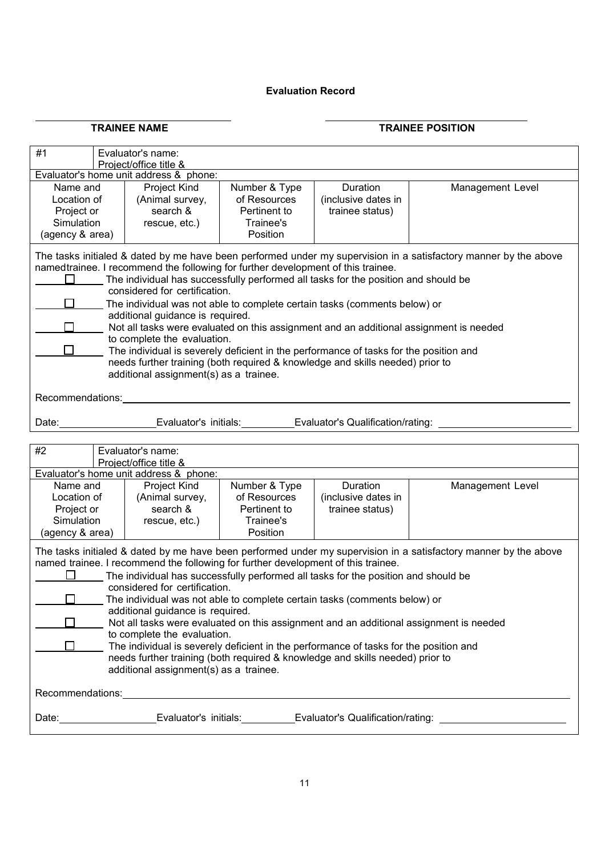## **Evaluation Record**

## **TRAINEE NAME TRAINEE POSITION**

| #1<br>Evaluator's name:<br>Project/office title &                                                                                                                                                                                                                                                                                                                                                                                                                                                                                                                                                                                                                                                                                                                                          |                                                                                                                                                                                                                                                                                                                                                                                                                                                                                                                                                                                                                                                                                                                                                                                           |                                                              |                                                                        |                                                    |                  |  |  |  |
|--------------------------------------------------------------------------------------------------------------------------------------------------------------------------------------------------------------------------------------------------------------------------------------------------------------------------------------------------------------------------------------------------------------------------------------------------------------------------------------------------------------------------------------------------------------------------------------------------------------------------------------------------------------------------------------------------------------------------------------------------------------------------------------------|-------------------------------------------------------------------------------------------------------------------------------------------------------------------------------------------------------------------------------------------------------------------------------------------------------------------------------------------------------------------------------------------------------------------------------------------------------------------------------------------------------------------------------------------------------------------------------------------------------------------------------------------------------------------------------------------------------------------------------------------------------------------------------------------|--------------------------------------------------------------|------------------------------------------------------------------------|----------------------------------------------------|------------------|--|--|--|
| Evaluator's home unit address & phone:                                                                                                                                                                                                                                                                                                                                                                                                                                                                                                                                                                                                                                                                                                                                                     |                                                                                                                                                                                                                                                                                                                                                                                                                                                                                                                                                                                                                                                                                                                                                                                           |                                                              |                                                                        |                                                    |                  |  |  |  |
| Name and<br>Location of<br>Project or<br>Simulation<br>(agency & area)                                                                                                                                                                                                                                                                                                                                                                                                                                                                                                                                                                                                                                                                                                                     |                                                                                                                                                                                                                                                                                                                                                                                                                                                                                                                                                                                                                                                                                                                                                                                           | Project Kind<br>(Animal survey,<br>search &<br>rescue, etc.) | Number & Type<br>of Resources<br>Pertinent to<br>Trainee's<br>Position | Duration<br>(inclusive dates in<br>trainee status) | Management Level |  |  |  |
| $\Box$<br>Recommendations:                                                                                                                                                                                                                                                                                                                                                                                                                                                                                                                                                                                                                                                                                                                                                                 | The tasks initialed & dated by me have been performed under my supervision in a satisfactory manner by the above<br>namedtrainee. I recommend the following for further development of this trainee.<br>The individual has successfully performed all tasks for the position and should be<br>considered for certification.<br>The individual was not able to complete certain tasks (comments below) or<br>additional guidance is required.<br>Not all tasks were evaluated on this assignment and an additional assignment is needed<br>to complete the evaluation.<br>The individual is severely deficient in the performance of tasks for the position and<br>needs further training (both required & knowledge and skills needed) prior to<br>additional assignment(s) as a trainee. |                                                              |                                                                        |                                                    |                  |  |  |  |
| Date:                                                                                                                                                                                                                                                                                                                                                                                                                                                                                                                                                                                                                                                                                                                                                                                      |                                                                                                                                                                                                                                                                                                                                                                                                                                                                                                                                                                                                                                                                                                                                                                                           |                                                              | Evaluator's initials:                                                  | Evaluator's Qualification/rating:                  |                  |  |  |  |
| #2                                                                                                                                                                                                                                                                                                                                                                                                                                                                                                                                                                                                                                                                                                                                                                                         |                                                                                                                                                                                                                                                                                                                                                                                                                                                                                                                                                                                                                                                                                                                                                                                           | Evaluator's name:<br>Project/office title &                  |                                                                        |                                                    |                  |  |  |  |
|                                                                                                                                                                                                                                                                                                                                                                                                                                                                                                                                                                                                                                                                                                                                                                                            |                                                                                                                                                                                                                                                                                                                                                                                                                                                                                                                                                                                                                                                                                                                                                                                           | Evaluator's home unit address & phone:                       |                                                                        |                                                    |                  |  |  |  |
| (agency & area)                                                                                                                                                                                                                                                                                                                                                                                                                                                                                                                                                                                                                                                                                                                                                                            | <b>Project Kind</b><br>Number & Type<br>Duration<br>Management Level<br>Name and<br>Location of<br>(Animal survey,<br>of Resources<br>(inclusive dates in<br>search &<br>Pertinent to<br>Project or<br>trainee status)<br>Simulation<br>Trainee's<br>rescue, etc.)<br>Position                                                                                                                                                                                                                                                                                                                                                                                                                                                                                                            |                                                              |                                                                        |                                                    |                  |  |  |  |
| The tasks initialed & dated by me have been performed under my supervision in a satisfactory manner by the above<br>named trainee. I recommend the following for further development of this trainee.<br>The individual has successfully performed all tasks for the position and should be<br>considered for certification.<br>The individual was not able to complete certain tasks (comments below) or<br>additional guidance is required.<br>Not all tasks were evaluated on this assignment and an additional assignment is needed<br>to complete the evaluation.<br>The individual is severely deficient in the performance of tasks for the position and<br>needs further training (both required & knowledge and skills needed) prior to<br>additional assignment(s) as a trainee. |                                                                                                                                                                                                                                                                                                                                                                                                                                                                                                                                                                                                                                                                                                                                                                                           |                                                              |                                                                        |                                                    |                  |  |  |  |
|                                                                                                                                                                                                                                                                                                                                                                                                                                                                                                                                                                                                                                                                                                                                                                                            |                                                                                                                                                                                                                                                                                                                                                                                                                                                                                                                                                                                                                                                                                                                                                                                           |                                                              |                                                                        |                                                    |                  |  |  |  |
| Date: Evaluator's initials: Evaluator's Qualification/rating:                                                                                                                                                                                                                                                                                                                                                                                                                                                                                                                                                                                                                                                                                                                              |                                                                                                                                                                                                                                                                                                                                                                                                                                                                                                                                                                                                                                                                                                                                                                                           |                                                              |                                                                        |                                                    |                  |  |  |  |